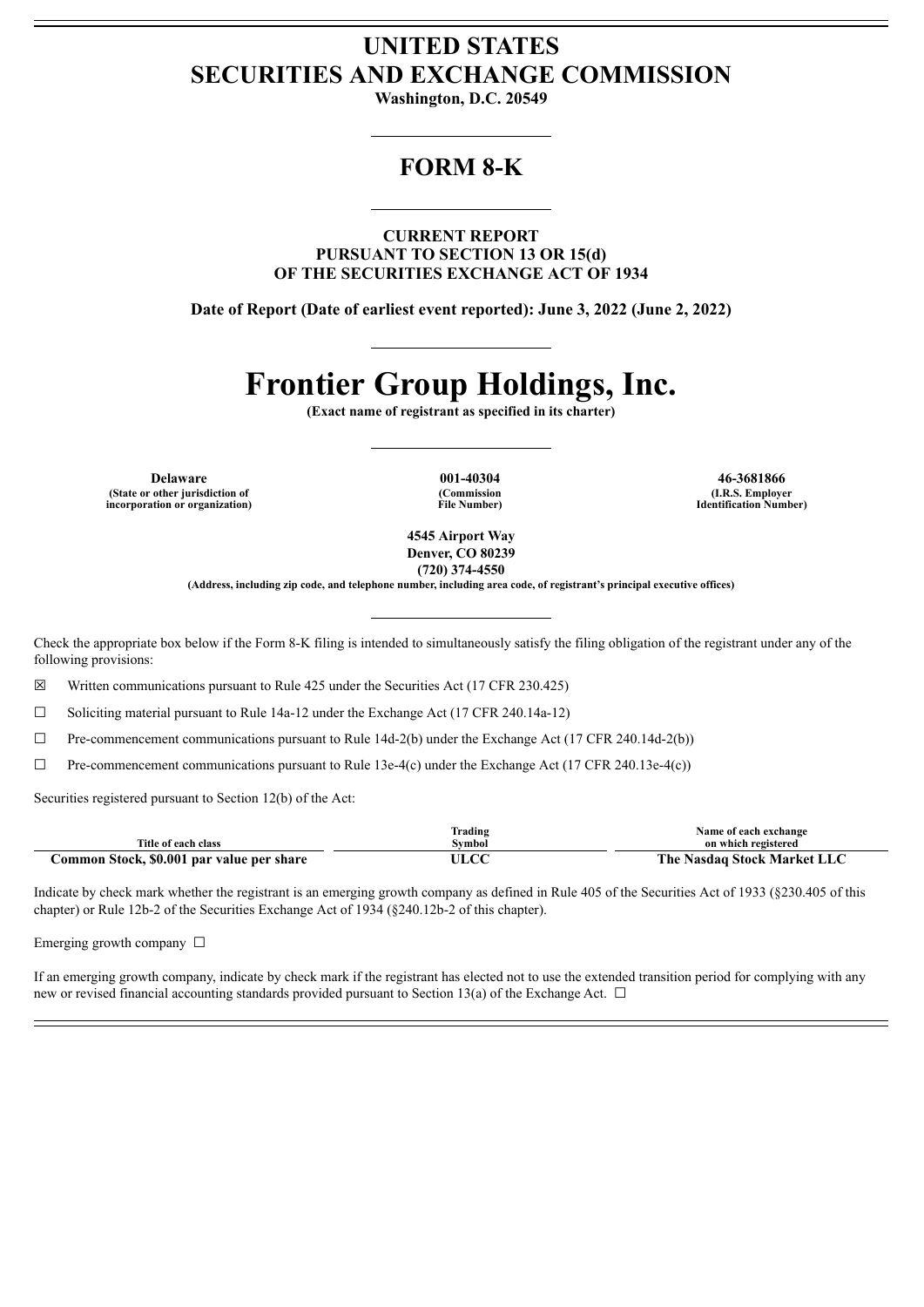# **UNITED STATES SECURITIES AND EXCHANGE COMMISSION**

**Washington, D.C. 20549**

## **FORM 8-K**

**CURRENT REPORT PURSUANT TO SECTION 13 OR 15(d) OF THE SECURITIES EXCHANGE ACT OF 1934**

**Date of Report (Date of earliest event reported): June 3, 2022 (June 2, 2022)**

# **Frontier Group Holdings, Inc.**

**(Exact name of registrant as specified in its charter)**

**Delaware 001-40304 46-3681866 (State or other jurisdiction of incorporation or organization)**

**(Commission File Number)**

**(I.R.S. Employer Identification Number)**

**4545 Airport Way Denver, CO 80239 (720) 374-4550**

**(Address, including zip code, and telephone number, including area code, of registrant's principal executive offices)**

Check the appropriate box below if the Form 8-K filing is intended to simultaneously satisfy the filing obligation of the registrant under any of the following provisions:

☒ Written communications pursuant to Rule 425 under the Securities Act (17 CFR 230.425)

☐ Soliciting material pursuant to Rule 14a-12 under the Exchange Act (17 CFR 240.14a-12)

 $\Box$  Pre-commencement communications pursuant to Rule 14d-2(b) under the Exchange Act (17 CFR 240.14d-2(b))

 $\Box$  Pre-commencement communications pursuant to Rule 13e-4(c) under the Exchange Act (17 CFR 240.13e-4(c))

Securities registered pursuant to Section 12(b) of the Act:

|                                                | <b>frading</b>        | Name of each exchange           |
|------------------------------------------------|-----------------------|---------------------------------|
| Title of each class                            | Nymbol –              | on which registered             |
| Common Stock. \$0.001<br>l par value per share | $\sim$<br>ш<br>11 A A | The.<br>Nasdag Stock Market LLC |

Indicate by check mark whether the registrant is an emerging growth company as defined in Rule 405 of the Securities Act of 1933 (§230.405 of this chapter) or Rule 12b-2 of the Securities Exchange Act of 1934 (§240.12b-2 of this chapter).

Emerging growth company  $\Box$ 

If an emerging growth company, indicate by check mark if the registrant has elected not to use the extended transition period for complying with any new or revised financial accounting standards provided pursuant to Section 13(a) of the Exchange Act.  $\Box$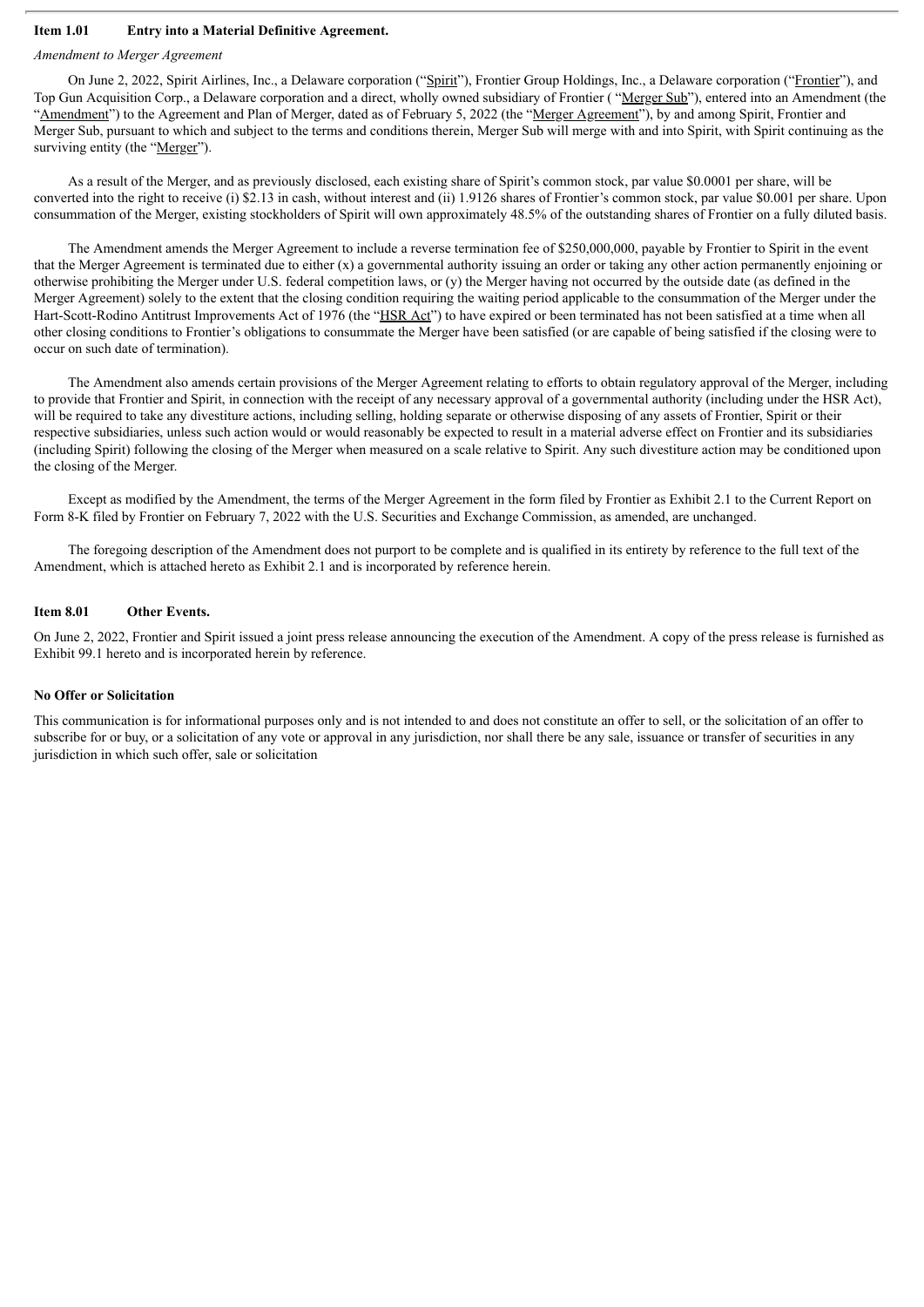### **Item 1.01 Entry into a Material Definitive Agreement.**

### *Amendment to Merger Agreement*

On June 2, 2022, Spirit Airlines, Inc., a Delaware corporation ("Spirit"), Frontier Group Holdings, Inc., a Delaware corporation ("Frontier"), and Top Gun Acquisition Corp., a Delaware corporation and a direct, wholly owned subsidiary of Frontier ("Merger Sub"), entered into an Amendment (the "Amendment") to the Agreement and Plan of Merger, dated as of February 5, 2022 (the "Merger Agreement"), by and among Spirit, Frontier and Merger Sub, pursuant to which and subject to the terms and conditions therein, Merger Sub will merge with and into Spirit, with Spirit continuing as the surviving entity (the "Merger").

As a result of the Merger, and as previously disclosed, each existing share of Spirit's common stock, par value \$0.0001 per share, will be converted into the right to receive (i) \$2.13 in cash, without interest and (ii) 1.9126 shares of Frontier's common stock, par value \$0.001 per share. Upon consummation of the Merger, existing stockholders of Spirit will own approximately 48.5% of the outstanding shares of Frontier on a fully diluted basis.

The Amendment amends the Merger Agreement to include a reverse termination fee of \$250,000,000, payable by Frontier to Spirit in the event that the Merger Agreement is terminated due to either (x) a governmental authority issuing an order or taking any other action permanently enjoining or otherwise prohibiting the Merger under U.S. federal competition laws, or (y) the Merger having not occurred by the outside date (as defined in the Merger Agreement) solely to the extent that the closing condition requiring the waiting period applicable to the consummation of the Merger under the Hart-Scott-Rodino Antitrust Improvements Act of 1976 (the "HSR Act") to have expired or been terminated has not been satisfied at a time when all other closing conditions to Frontier's obligations to consummate the Merger have been satisfied (or are capable of being satisfied if the closing were to occur on such date of termination).

The Amendment also amends certain provisions of the Merger Agreement relating to efforts to obtain regulatory approval of the Merger, including to provide that Frontier and Spirit, in connection with the receipt of any necessary approval of a governmental authority (including under the HSR Act), will be required to take any divestiture actions, including selling, holding separate or otherwise disposing of any assets of Frontier, Spirit or their respective subsidiaries, unless such action would or would reasonably be expected to result in a material adverse effect on Frontier and its subsidiaries (including Spirit) following the closing of the Merger when measured on a scale relative to Spirit. Any such divestiture action may be conditioned upon the closing of the Merger.

Except as modified by the Amendment, the terms of the Merger Agreement in the form filed by Frontier as Exhibit 2.1 to the Current Report on Form 8-K filed by Frontier on February 7, 2022 with the U.S. Securities and Exchange Commission, as amended, are unchanged.

The foregoing description of the Amendment does not purport to be complete and is qualified in its entirety by reference to the full text of the Amendment, which is attached hereto as Exhibit 2.1 and is incorporated by reference herein.

### **Item 8.01 Other Events.**

On June 2, 2022, Frontier and Spirit issued a joint press release announcing the execution of the Amendment. A copy of the press release is furnished as Exhibit 99.1 hereto and is incorporated herein by reference.

### **No Offer or Solicitation**

This communication is for informational purposes only and is not intended to and does not constitute an offer to sell, or the solicitation of an offer to subscribe for or buy, or a solicitation of any vote or approval in any jurisdiction, nor shall there be any sale, issuance or transfer of securities in any jurisdiction in which such offer, sale or solicitation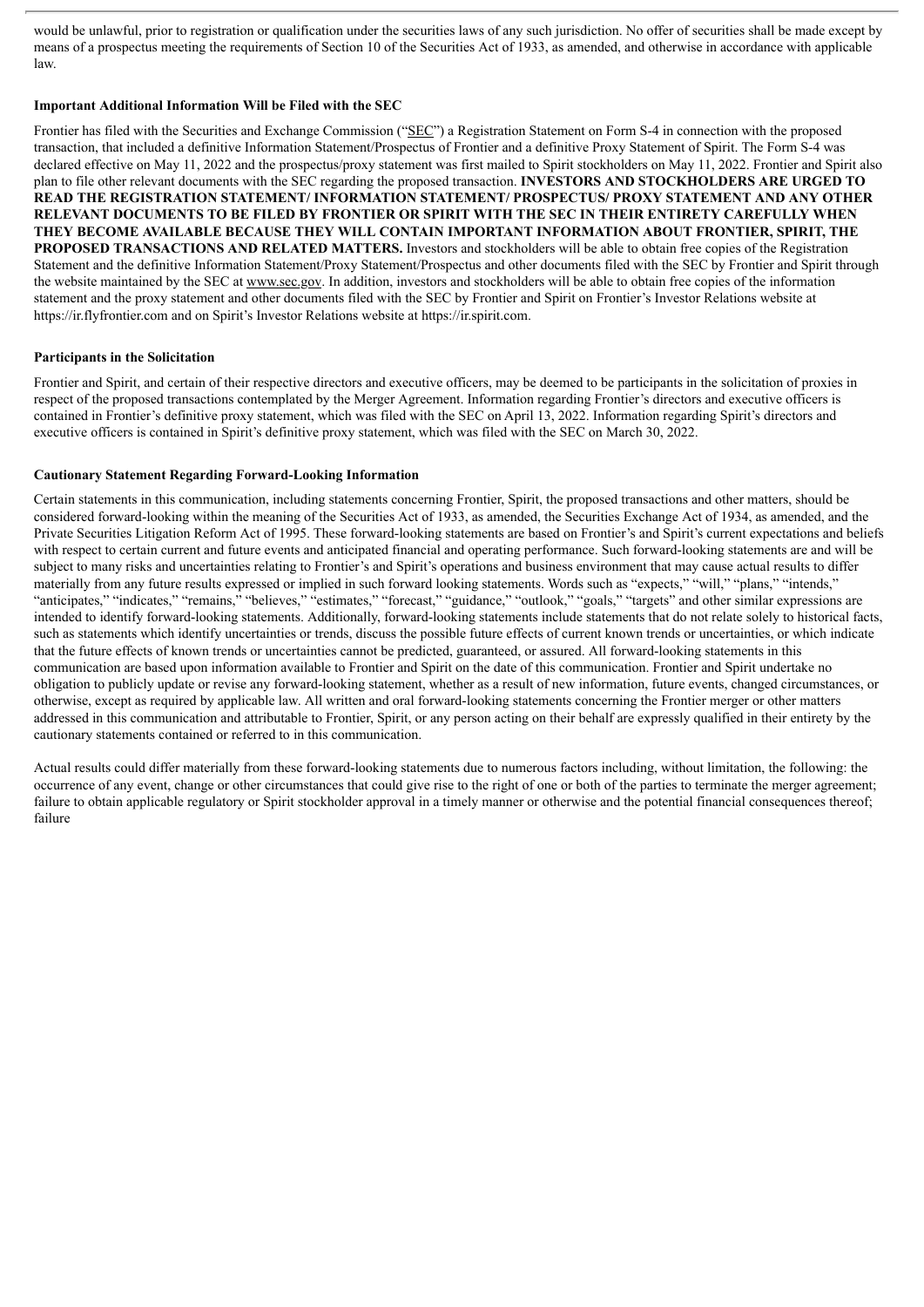would be unlawful, prior to registration or qualification under the securities laws of any such jurisdiction. No offer of securities shall be made except by means of a prospectus meeting the requirements of Section 10 of the Securities Act of 1933, as amended, and otherwise in accordance with applicable law.

### **Important Additional Information Will be Filed with the SEC**

Frontier has filed with the Securities and Exchange Commission ("SEC") a Registration Statement on Form S-4 in connection with the proposed transaction, that included a definitive Information Statement/Prospectus of Frontier and a definitive Proxy Statement of Spirit. The Form S-4 was declared effective on May 11, 2022 and the prospectus/proxy statement was first mailed to Spirit stockholders on May 11, 2022. Frontier and Spirit also plan to file other relevant documents with the SEC regarding the proposed transaction. **INVESTORS AND STOCKHOLDERS ARE URGED TO READ THE REGISTRATION STATEMENT/ INFORMATION STATEMENT/ PROSPECTUS/ PROXY STATEMENT AND ANY OTHER RELEVANT DOCUMENTS TO BE FILED BY FRONTIER OR SPIRIT WITH THE SEC IN THEIR ENTIRETY CAREFULLY WHEN THEY BECOME AVAILABLE BECAUSE THEY WILL CONTAIN IMPORTANT INFORMATION ABOUT FRONTIER, SPIRIT, THE PROPOSED TRANSACTIONS AND RELATED MATTERS.** Investors and stockholders will be able to obtain free copies of the Registration Statement and the definitive Information Statement/Proxy Statement/Prospectus and other documents filed with the SEC by Frontier and Spirit through the website maintained by the SEC at www.sec.gov. In addition, investors and stockholders will be able to obtain free copies of the information statement and the proxy statement and other documents filed with the SEC by Frontier and Spirit on Frontier's Investor Relations website at https://ir.flyfrontier.com and on Spirit's Investor Relations website at https://ir.spirit.com.

### **Participants in the Solicitation**

Frontier and Spirit, and certain of their respective directors and executive officers, may be deemed to be participants in the solicitation of proxies in respect of the proposed transactions contemplated by the Merger Agreement. Information regarding Frontier's directors and executive officers is contained in Frontier's definitive proxy statement, which was filed with the SEC on April 13, 2022. Information regarding Spirit's directors and executive officers is contained in Spirit's definitive proxy statement, which was filed with the SEC on March 30, 2022.

### **Cautionary Statement Regarding Forward-Looking Information**

Certain statements in this communication, including statements concerning Frontier, Spirit, the proposed transactions and other matters, should be considered forward-looking within the meaning of the Securities Act of 1933, as amended, the Securities Exchange Act of 1934, as amended, and the Private Securities Litigation Reform Act of 1995. These forward-looking statements are based on Frontier's and Spirit's current expectations and beliefs with respect to certain current and future events and anticipated financial and operating performance. Such forward-looking statements are and will be subject to many risks and uncertainties relating to Frontier's and Spirit's operations and business environment that may cause actual results to differ materially from any future results expressed or implied in such forward looking statements. Words such as "expects," "will," "plans," "intends," "anticipates," "indicates," "remains," "believes," "estimates," "forecast," "guidance," "outlook," "goals," "targets" and other similar expressions are intended to identify forward-looking statements. Additionally, forward-looking statements include statements that do not relate solely to historical facts, such as statements which identify uncertainties or trends, discuss the possible future effects of current known trends or uncertainties, or which indicate that the future effects of known trends or uncertainties cannot be predicted, guaranteed, or assured. All forward-looking statements in this communication are based upon information available to Frontier and Spirit on the date of this communication. Frontier and Spirit undertake no obligation to publicly update or revise any forward-looking statement, whether as a result of new information, future events, changed circumstances, or otherwise, except as required by applicable law. All written and oral forward-looking statements concerning the Frontier merger or other matters addressed in this communication and attributable to Frontier, Spirit, or any person acting on their behalf are expressly qualified in their entirety by the cautionary statements contained or referred to in this communication.

Actual results could differ materially from these forward-looking statements due to numerous factors including, without limitation, the following: the occurrence of any event, change or other circumstances that could give rise to the right of one or both of the parties to terminate the merger agreement; failure to obtain applicable regulatory or Spirit stockholder approval in a timely manner or otherwise and the potential financial consequences thereof; failure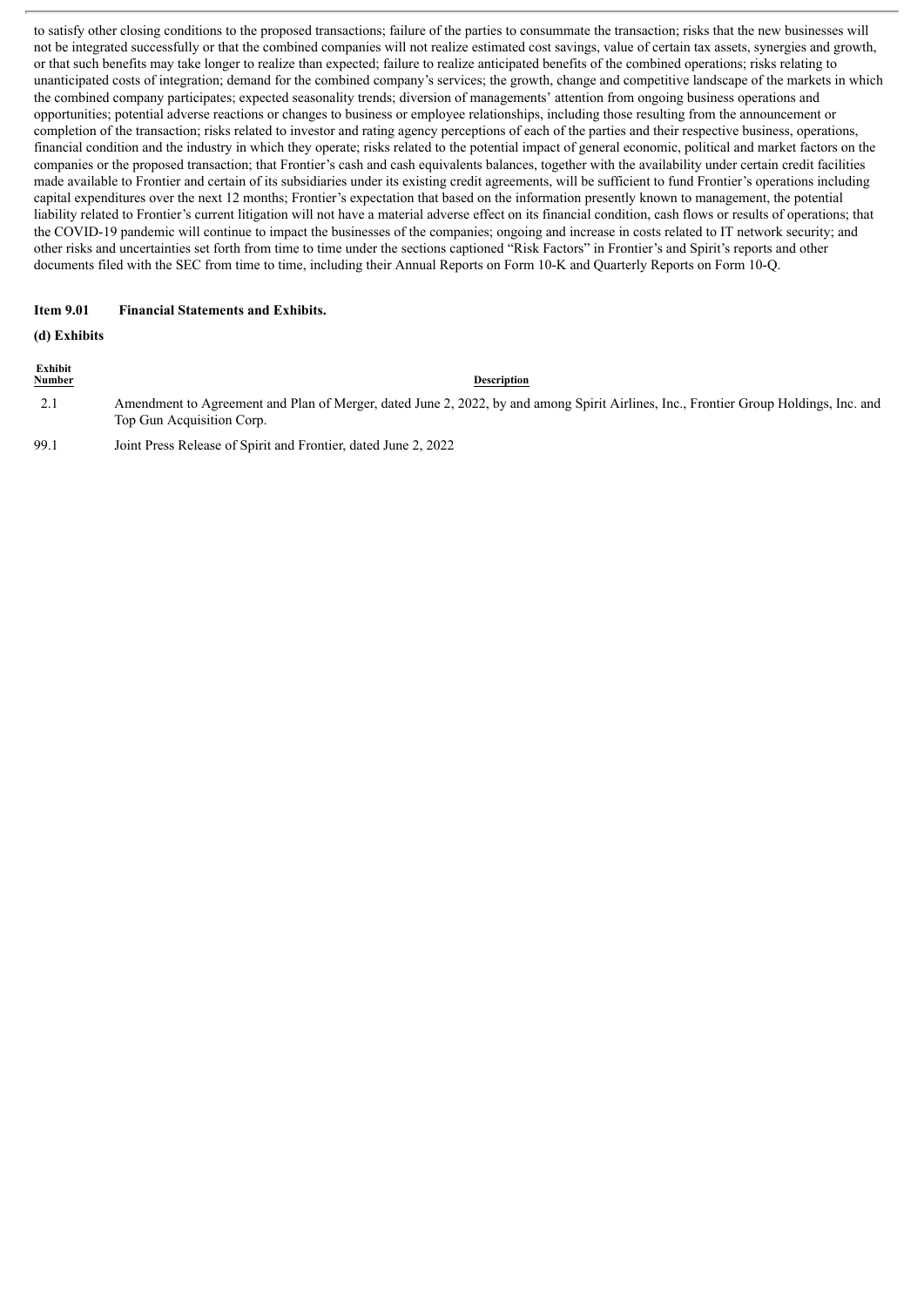to satisfy other closing conditions to the proposed transactions; failure of the parties to consummate the transaction; risks that the new businesses will not be integrated successfully or that the combined companies will not realize estimated cost savings, value of certain tax assets, synergies and growth, or that such benefits may take longer to realize than expected; failure to realize anticipated benefits of the combined operations; risks relating to unanticipated costs of integration; demand for the combined company's services; the growth, change and competitive landscape of the markets in which the combined company participates; expected seasonality trends; diversion of managements' attention from ongoing business operations and opportunities; potential adverse reactions or changes to business or employee relationships, including those resulting from the announcement or completion of the transaction; risks related to investor and rating agency perceptions of each of the parties and their respective business, operations, financial condition and the industry in which they operate; risks related to the potential impact of general economic, political and market factors on the companies or the proposed transaction; that Frontier's cash and cash equivalents balances, together with the availability under certain credit facilities made available to Frontier and certain of its subsidiaries under its existing credit agreements, will be sufficient to fund Frontier's operations including capital expenditures over the next 12 months; Frontier's expectation that based on the information presently known to management, the potential liability related to Frontier's current litigation will not have a material adverse effect on its financial condition, cash flows or results of operations; that the COVID-19 pandemic will continue to impact the businesses of the companies; ongoing and increase in costs related to IT network security; and other risks and uncertainties set forth from time to time under the sections captioned "Risk Factors" in Frontier's and Spirit's reports and other documents filed with the SEC from time to time, including their Annual Reports on Form 10-K and Quarterly Reports on Form 10-Q.

### **Item 9.01 Financial Statements and Exhibits.**

### **(d) Exhibits**

| Exhibit<br><b>Number</b> | <b>Description</b>                                                                                                                                                |
|--------------------------|-------------------------------------------------------------------------------------------------------------------------------------------------------------------|
|                          | Amendment to Agreement and Plan of Merger, dated June 2, 2022, by and among Spirit Airlines, Inc., Frontier Group Holdings, Inc. and<br>Top Gun Acquisition Corp. |

99.1 Joint Press Release of Spirit and Frontier, dated June 2, 2022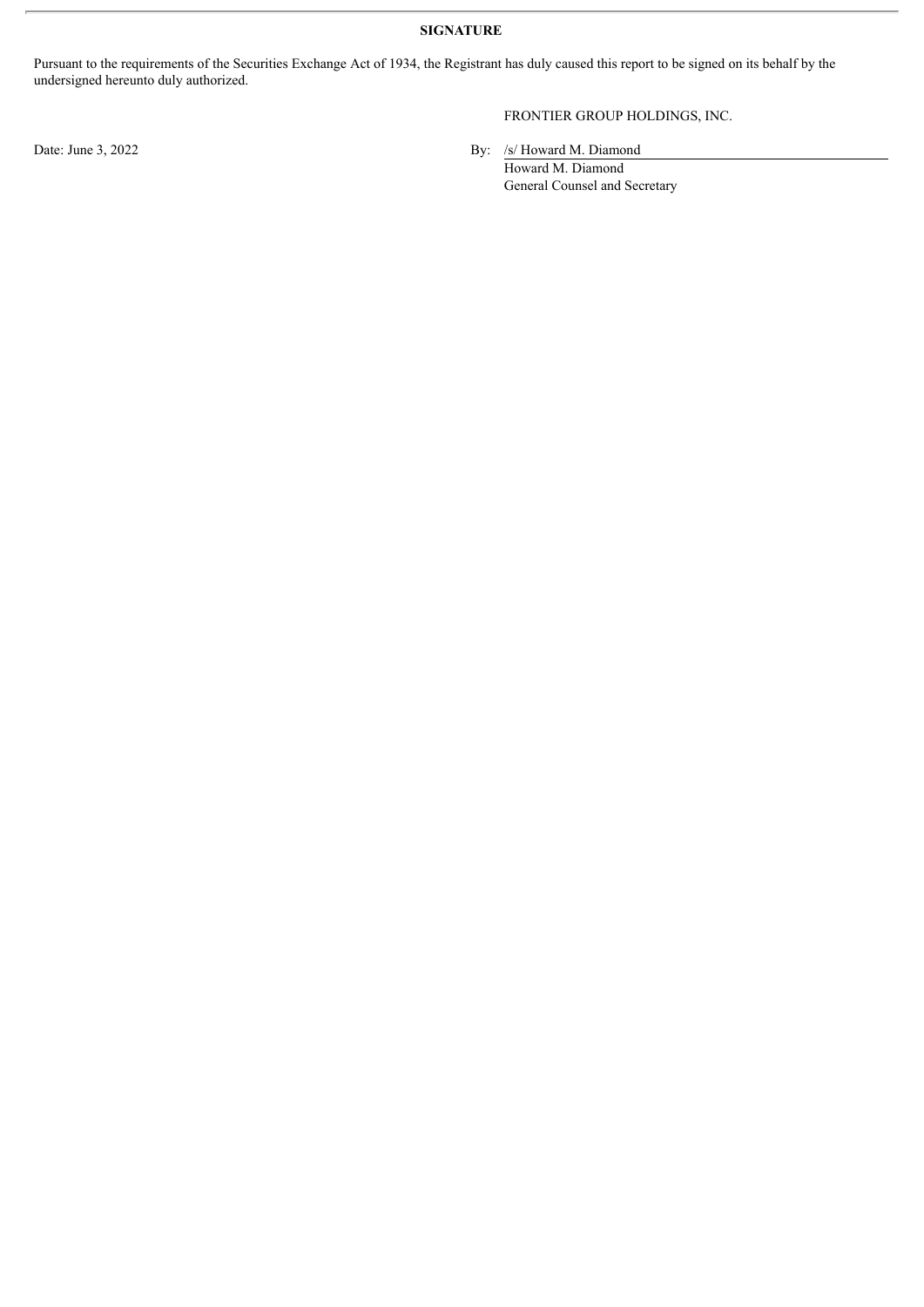**SIGNATURE**

Pursuant to the requirements of the Securities Exchange Act of 1934, the Registrant has duly caused this report to be signed on its behalf by the undersigned hereunto duly authorized.

FRONTIER GROUP HOLDINGS, INC.

Date: June 3, 2022 By: /s/ Howard M. Diamond

Howard M. Diamond General Counsel and Secretary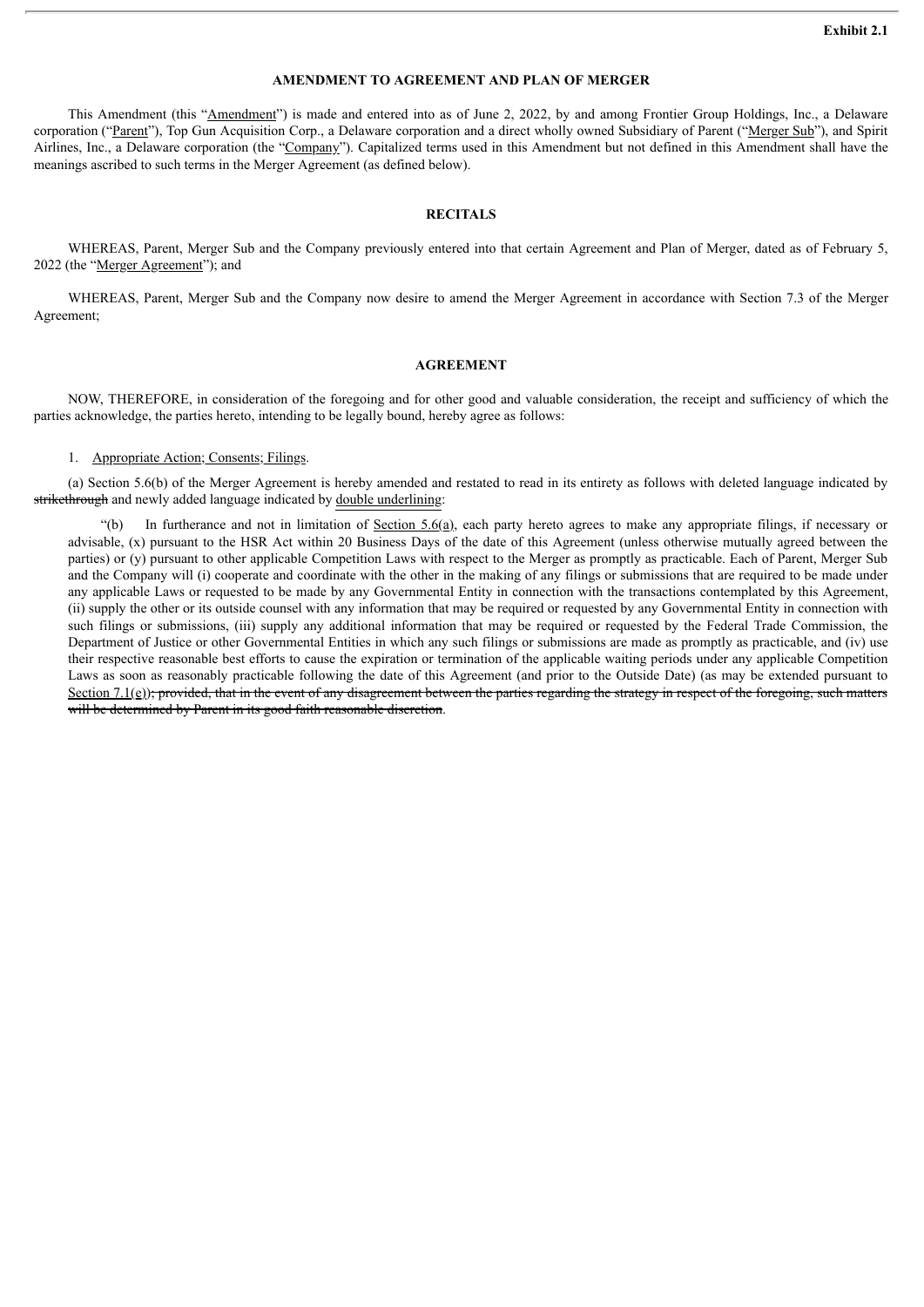### **AMENDMENT TO AGREEMENT AND PLAN OF MERGER**

This Amendment (this "Amendment") is made and entered into as of June 2, 2022, by and among Frontier Group Holdings, Inc., a Delaware corporation ("Parent"), Top Gun Acquisition Corp., a Delaware corporation and a direct wholly owned Subsidiary of Parent ("Merger Sub"), and Spirit Airlines, Inc., a Delaware corporation (the "Company"). Capitalized terms used in this Amendment but not defined in this Amendment shall have the meanings ascribed to such terms in the Merger Agreement (as defined below).

### **RECITALS**

WHEREAS, Parent, Merger Sub and the Company previously entered into that certain Agreement and Plan of Merger, dated as of February 5, 2022 (the "Merger Agreement"); and

WHEREAS, Parent, Merger Sub and the Company now desire to amend the Merger Agreement in accordance with Section 7.3 of the Merger Agreement;

### **AGREEMENT**

NOW, THEREFORE, in consideration of the foregoing and for other good and valuable consideration, the receipt and sufficiency of which the parties acknowledge, the parties hereto, intending to be legally bound, hereby agree as follows:

#### 1. Appropriate Action; Consents; Filings.

(a) Section 5.6(b) of the Merger Agreement is hereby amended and restated to read in its entirety as follows with deleted language indicated by strikethrough and newly added language indicated by double underlining:

"(b) In furtherance and not in limitation of Section 5.6(a), each party hereto agrees to make any appropriate filings, if necessary or advisable, (x) pursuant to the HSR Act within 20 Business Days of the date of this Agreement (unless otherwise mutually agreed between the parties) or (y) pursuant to other applicable Competition Laws with respect to the Merger as promptly as practicable. Each of Parent, Merger Sub and the Company will (i) cooperate and coordinate with the other in the making of any filings or submissions that are required to be made under any applicable Laws or requested to be made by any Governmental Entity in connection with the transactions contemplated by this Agreement, (ii) supply the other or its outside counsel with any information that may be required or requested by any Governmental Entity in connection with such filings or submissions, (iii) supply any additional information that may be required or requested by the Federal Trade Commission, the Department of Justice or other Governmental Entities in which any such filings or submissions are made as promptly as practicable, and (iv) use their respective reasonable best efforts to cause the expiration or termination of the applicable waiting periods under any applicable Competition Laws as soon as reasonably practicable following the date of this Agreement (and prior to the Outside Date) (as may be extended pursuant to Section 7.1(e)); provided, that in the event of any disagreement between the parties regarding the strategy in respect of the foregoing, such matters will be determined by Parent in its good faith reasonable discretion.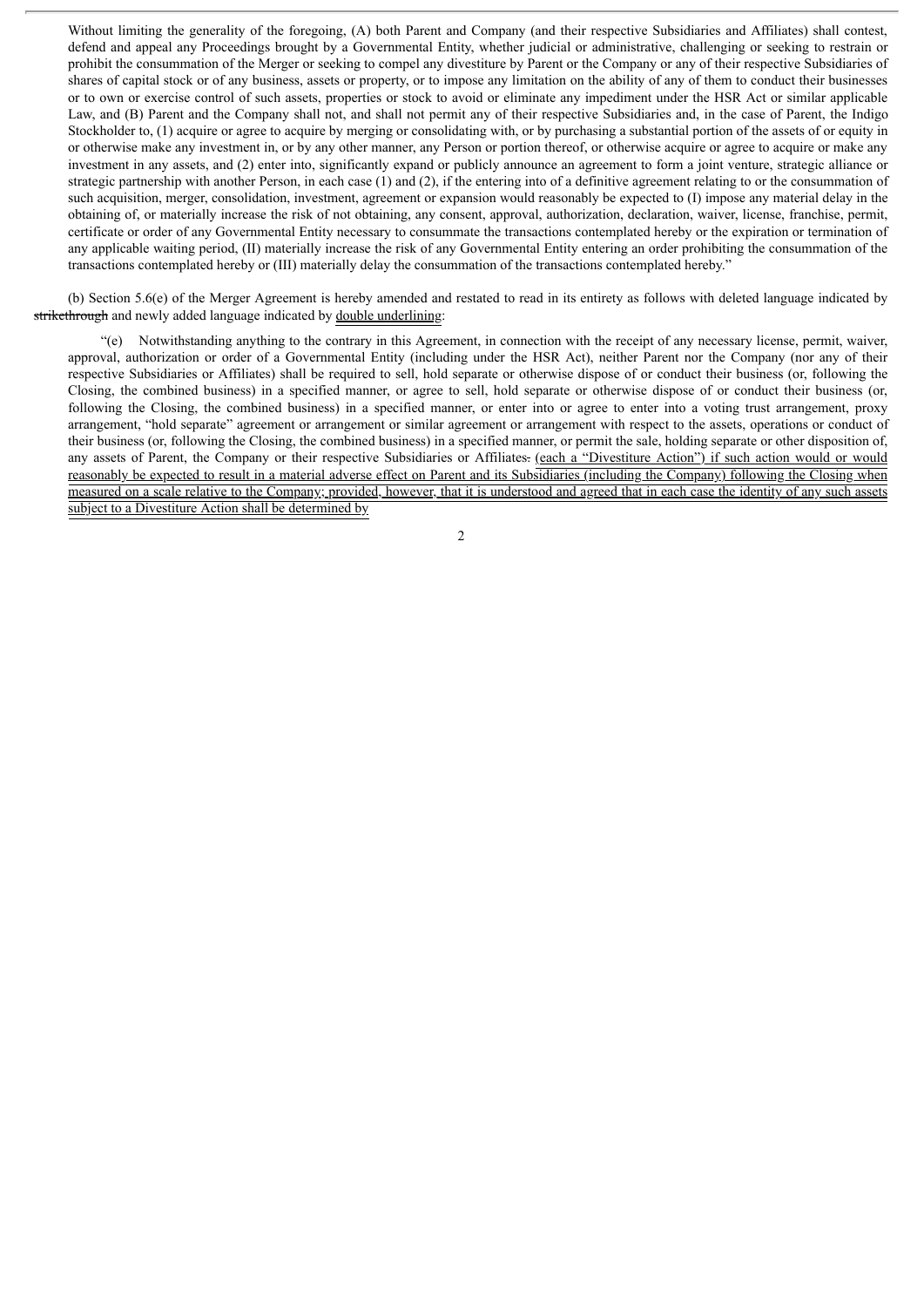Without limiting the generality of the foregoing, (A) both Parent and Company (and their respective Subsidiaries and Affiliates) shall contest, defend and appeal any Proceedings brought by a Governmental Entity, whether judicial or administrative, challenging or seeking to restrain or prohibit the consummation of the Merger or seeking to compel any divestiture by Parent or the Company or any of their respective Subsidiaries of shares of capital stock or of any business, assets or property, or to impose any limitation on the ability of any of them to conduct their businesses or to own or exercise control of such assets, properties or stock to avoid or eliminate any impediment under the HSR Act or similar applicable Law, and (B) Parent and the Company shall not, and shall not permit any of their respective Subsidiaries and, in the case of Parent, the Indigo Stockholder to, (1) acquire or agree to acquire by merging or consolidating with, or by purchasing a substantial portion of the assets of or equity in or otherwise make any investment in, or by any other manner, any Person or portion thereof, or otherwise acquire or agree to acquire or make any investment in any assets, and (2) enter into, significantly expand or publicly announce an agreement to form a joint venture, strategic alliance or strategic partnership with another Person, in each case (1) and (2), if the entering into of a definitive agreement relating to or the consummation of such acquisition, merger, consolidation, investment, agreement or expansion would reasonably be expected to (I) impose any material delay in the obtaining of, or materially increase the risk of not obtaining, any consent, approval, authorization, declaration, waiver, license, franchise, permit, certificate or order of any Governmental Entity necessary to consummate the transactions contemplated hereby or the expiration or termination of any applicable waiting period, (II) materially increase the risk of any Governmental Entity entering an order prohibiting the consummation of the transactions contemplated hereby or (III) materially delay the consummation of the transactions contemplated hereby."

(b) Section 5.6(e) of the Merger Agreement is hereby amended and restated to read in its entirety as follows with deleted language indicated by strikethrough and newly added language indicated by double underlining:

"(e) Notwithstanding anything to the contrary in this Agreement, in connection with the receipt of any necessary license, permit, waiver, approval, authorization or order of a Governmental Entity (including under the HSR Act), neither Parent nor the Company (nor any of their respective Subsidiaries or Affiliates) shall be required to sell, hold separate or otherwise dispose of or conduct their business (or, following the Closing, the combined business) in a specified manner, or agree to sell, hold separate or otherwise dispose of or conduct their business (or, following the Closing, the combined business) in a specified manner, or enter into or agree to enter into a voting trust arrangement, proxy arrangement, "hold separate" agreement or arrangement or similar agreement or arrangement with respect to the assets, operations or conduct of their business (or, following the Closing, the combined business) in a specified manner, or permit the sale, holding separate or other disposition of, any assets of Parent, the Company or their respective Subsidiaries or Affiliates. (each a "Divestiture Action") if such action would or would reasonably be expected to result in a material adverse effect on Parent and its Subsidiaries (including the Company) following the Closing when measured on a scale relative to the Company; provided, however, that it is understood and agreed that in each case the identity of any such assets subject to a Divestiture Action shall be determined by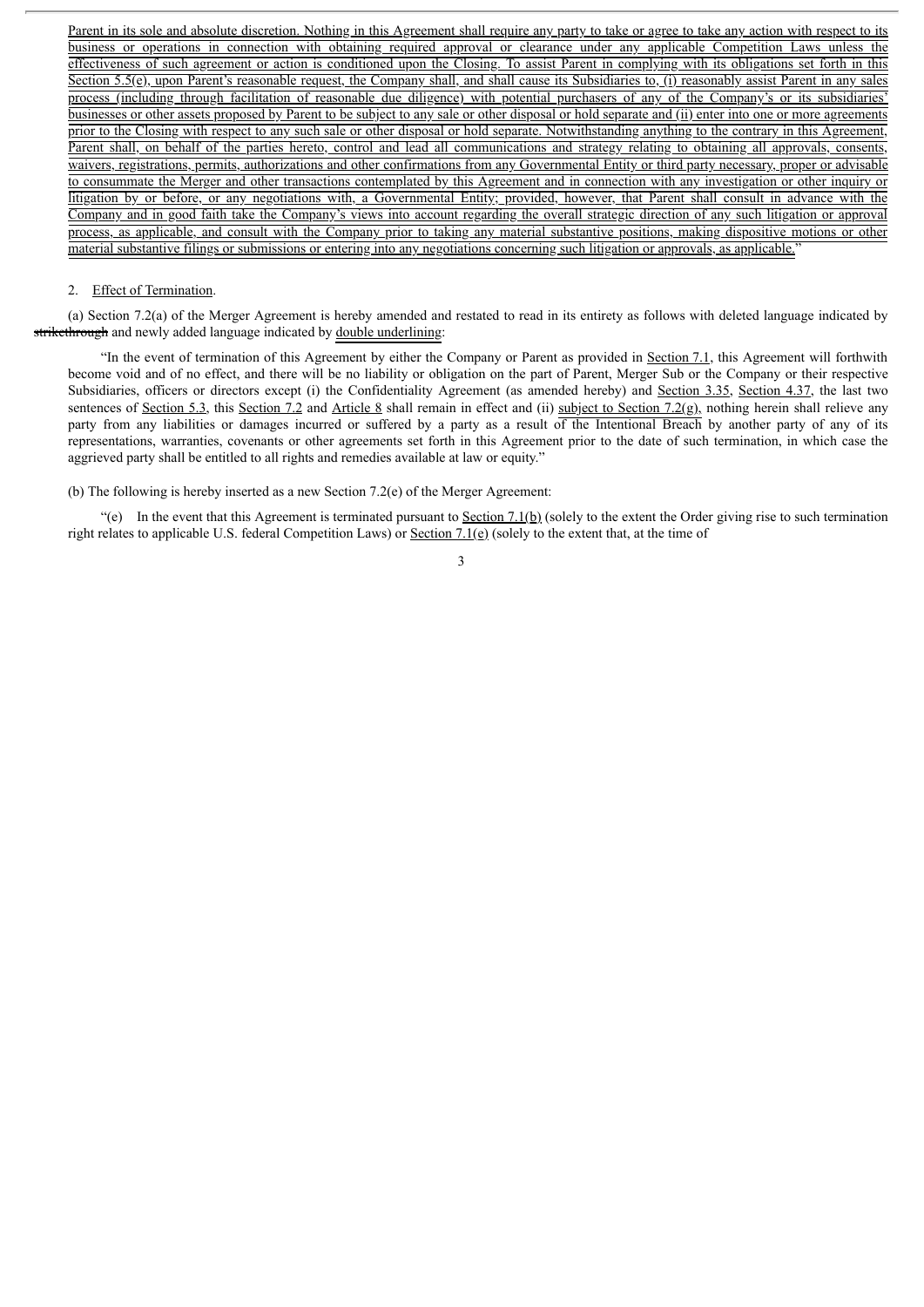Parent in its sole and absolute discretion. Nothing in this Agreement shall require any party to take or agree to take any action with respect to its business or operations in connection with obtaining required approval or clearance under any applicable Competition Laws unless the effectiveness of such agreement or action is conditioned upon the Closing. To assist Parent in complying with its obligations set forth in this Section 5.5(e), upon Parent's reasonable request, the Company shall, and shall cause its Subsidiaries to, (i) reasonably assist Parent in any sales process (including through facilitation of reasonable due diligence) with potential purchasers of any of the Company's or its subsidiaries' businesses or other assets proposed by Parent to be subject to any sale or other disposal or hold separate and (ii) enter into one or more agreements prior to the Closing with respect to any such sale or other disposal or hold separate. Notwithstanding anything to the contrary in this Agreement, Parent shall, on behalf of the parties hereto, control and lead all communications and strategy relating to obtaining all approvals, consents, waivers, registrations, permits, authorizations and other confirmations from any Governmental Entity or third party necessary, proper or advisable to consummate the Merger and other transactions contemplated by this Agreement and in connection with any investigation or other inquiry or litigation by or before, or any negotiations with, a Governmental Entity; provided, however, that Parent shall consult in advance with the Company and in good faith take the Company's views into account regarding the overall strategic direction of any such litigation or approval process, as applicable, and consult with the Company prior to taking any material substantive positions, making dispositive motions or other material substantive filings or submissions or entering into any negotiations concerning such litigation or approvals, as applicable."

### 2. Effect of Termination.

(a) Section 7.2(a) of the Merger Agreement is hereby amended and restated to read in its entirety as follows with deleted language indicated by strikethrough and newly added language indicated by double underlining:

"In the event of termination of this Agreement by either the Company or Parent as provided in Section 7.1, this Agreement will forthwith become void and of no effect, and there will be no liability or obligation on the part of Parent, Merger Sub or the Company or their respective Subsidiaries, officers or directors except (i) the Confidentiality Agreement (as amended hereby) and Section 3.35, Section 4.37, the last two sentences of Section 5.3, this Section 7.2 and Article 8 shall remain in effect and (ii) subject to Section 7.2(g), nothing herein shall relieve any party from any liabilities or damages incurred or suffered by a party as a result of the Intentional Breach by another party of any of its representations, warranties, covenants or other agreements set forth in this Agreement prior to the date of such termination, in which case the aggrieved party shall be entitled to all rights and remedies available at law or equity."

#### (b) The following is hereby inserted as a new Section 7.2(e) of the Merger Agreement:

 $"$ (e) In the event that this Agreement is terminated pursuant to Section 7.1(b) (solely to the extent the Order giving rise to such termination right relates to applicable U.S. federal Competition Laws) or Section 7.1(e) (solely to the extent that, at the time of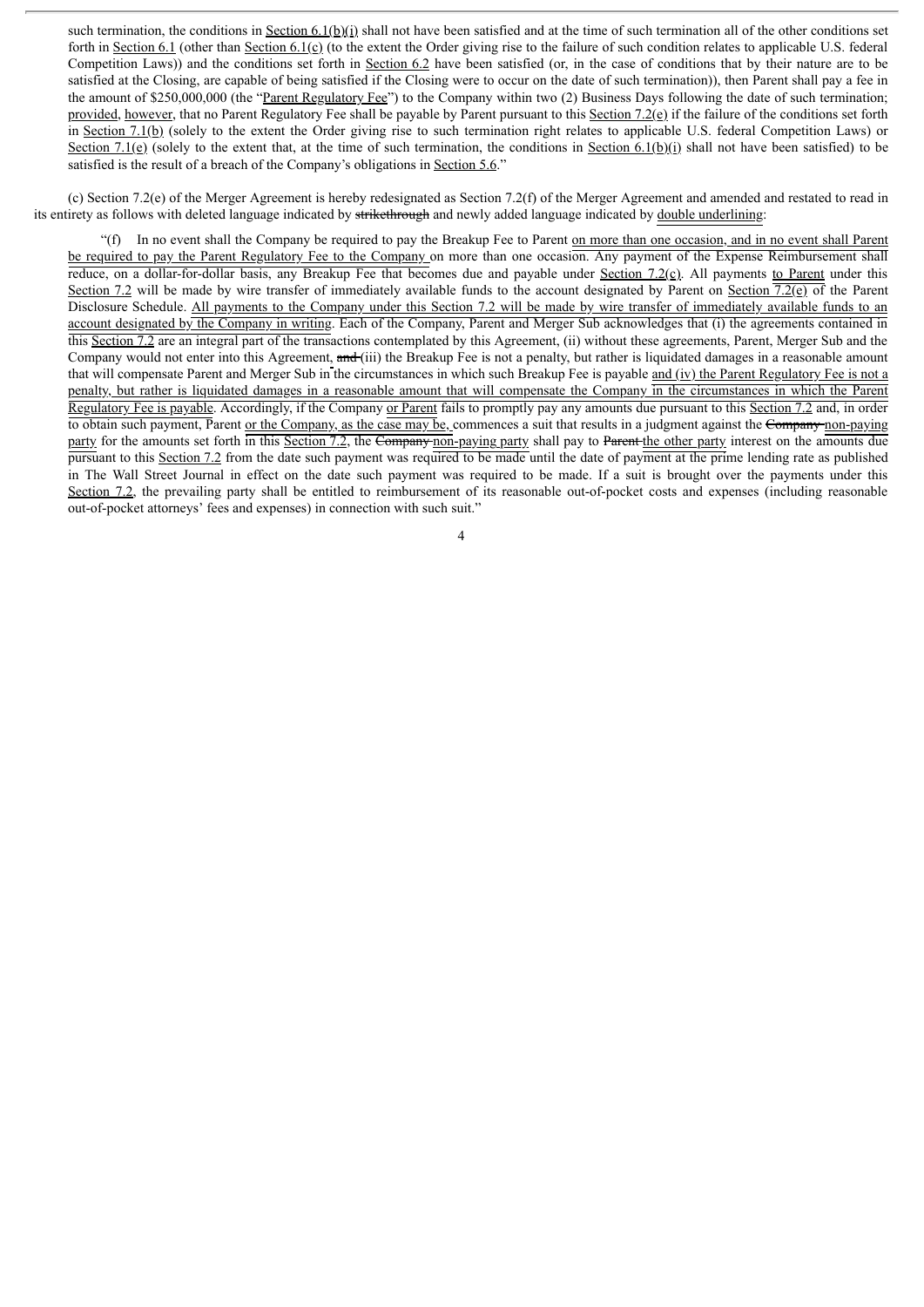such termination, the conditions in Section 6.1(b)(i) shall not have been satisfied and at the time of such termination all of the other conditions set forth in Section 6.1 (other than Section 6.1(c) (to the extent the Order giving rise to the failure of such condition relates to applicable U.S. federal Competition Laws)) and the conditions set forth in Section 6.2 have been satisfied (or, in the case of conditions that by their nature are to be satisfied at the Closing, are capable of being satisfied if the Closing were to occur on the date of such termination)), then Parent shall pay a fee in the amount of \$250,000,000 (the "Parent Regulatory Fee") to the Company within two (2) Business Days following the date of such termination; provided, however, that no Parent Regulatory Fee shall be payable by Parent pursuant to this Section 7.2(e) if the failure of the conditions set forth in Section 7.1(b) (solely to the extent the Order giving rise to such termination right relates to applicable U.S. federal Competition Laws) or Section 7.1(e) (solely to the extent that, at the time of such termination, the conditions in Section 6.1(b)(i) shall not have been satisfied) to be satisfied is the result of a breach of the Company's obligations in Section 5.6."

(c) Section 7.2(e) of the Merger Agreement is hereby redesignated as Section 7.2(f) of the Merger Agreement and amended and restated to read in its entirety as follows with deleted language indicated by strikethrough and newly added language indicated by double underlining:

"(f) In no event shall the Company be required to pay the Breakup Fee to Parent on more than one occasion, and in no event shall Parent be required to pay the Parent Regulatory Fee to the Company on more than one occasion. Any payment of the Expense Reimbursement shall reduce, on a dollar-for-dollar basis, any Breakup Fee that becomes due and payable under Section 7.2(c). All payments to Parent under this Section 7.2 will be made by wire transfer of immediately available funds to the account designated by Parent on Section  $\overline{7.2(e)}$  of the Parent Disclosure Schedule. All payments to the Company under this Section 7.2 will be made by wire transfer of immediately available funds to an account designated by the Company in writing. Each of the Company, Parent and Merger Sub acknowledges that (i) the agreements contained in this Section 7.2 are an integral part of the transactions contemplated by this Agreement, (ii) without these agreements, Parent, Merger Sub and the Company would not enter into this Agreement, and (iii) the Breakup Fee is not a penalty, but rather is liquidated damages in a reasonable amount that will compensate Parent and Merger Sub in the circumstances in which such Breakup Fee is payable and (iv) the Parent Regulatory Fee is not a penalty, but rather is liquidated damages in a reasonable amount that will compensate the Company in the circumstances in which the Parent Regulatory Fee is payable. Accordingly, if the Company or Parent fails to promptly pay any amounts due pursuant to this Section 7.2 and, in order to obtain such payment, Parent or the Company, as the case may be, commences a suit that results in a judgment against the Company non-paying party for the amounts set forth in this Section 7.2, the Company non-paying party shall pay to Parent the other party interest on the amounts due pursuant to this Section 7.2 from the date such payment was required to be made until the date of payment at the prime lending rate as published in The Wall Street Journal in effect on the date such payment was required to be made. If a suit is brought over the payments under this Section 7.2, the prevailing party shall be entitled to reimbursement of its reasonable out-of-pocket costs and expenses (including reasonable out-of-pocket attorneys' fees and expenses) in connection with such suit."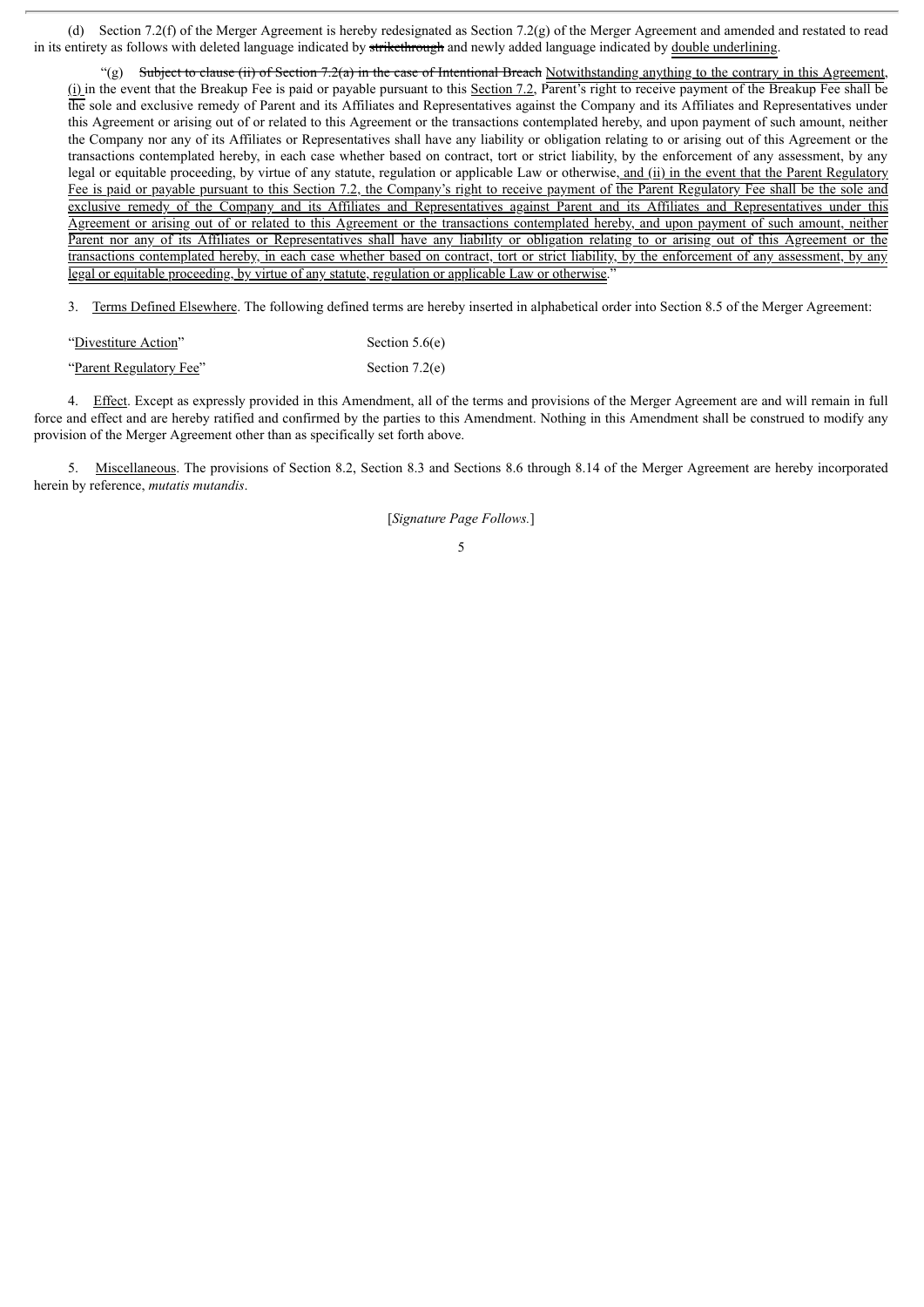(d) Section 7.2(f) of the Merger Agreement is hereby redesignated as Section 7.2(g) of the Merger Agreement and amended and restated to read in its entirety as follows with deleted language indicated by strikethrough and newly added language indicated by double underlining.

 $(2)$  Subject to clause (ii) of Section 7.2(a) in the case of Intentional Breach Notwithstanding anything to the contrary in this Agreement,  $(i)$  in the event that the Breakup Fee is paid or payable pursuant to this Section 7.2, Parent's right to receive payment of the Breakup Fee shall be the sole and exclusive remedy of Parent and its Affiliates and Representatives against the Company and its Affiliates and Representatives under this Agreement or arising out of or related to this Agreement or the transactions contemplated hereby, and upon payment of such amount, neither the Company nor any of its Affiliates or Representatives shall have any liability or obligation relating to or arising out of this Agreement or the transactions contemplated hereby, in each case whether based on contract, tort or strict liability, by the enforcement of any assessment, by any legal or equitable proceeding, by virtue of any statute, regulation or applicable Law or otherwise, and (ii) in the event that the Parent Regulatory Fee is paid or payable pursuant to this Section 7.2, the Company's right to receive payment of the Parent Regulatory Fee shall be the sole and exclusive remedy of the Company and its Affiliates and Representatives against Parent and its Affiliates and Representatives under this Agreement or arising out of or related to this Agreement or the transactions contemplated hereby, and upon payment of such amount, neither Parent nor any of its Affiliates or Representatives shall have any liability or obligation relating to or arising out of this Agreement or the transactions contemplated hereby, in each case whether based on contract, tort or strict liability, by the enforcement of any assessment, by any legal or equitable proceeding, by virtue of any statute, regulation or applicable Law or otherwise.

3. Terms Defined Elsewhere. The following defined terms are hereby inserted in alphabetical order into Section 8.5 of the Merger Agreement:

| "Divestiture Action"    | Section $5.6(e)$ |
|-------------------------|------------------|
| "Parent Regulatory Fee" | Section $7.2(e)$ |

4. Effect. Except as expressly provided in this Amendment, all of the terms and provisions of the Merger Agreement are and will remain in full force and effect and are hereby ratified and confirmed by the parties to this Amendment. Nothing in this Amendment shall be construed to modify any provision of the Merger Agreement other than as specifically set forth above.

5. Miscellaneous. The provisions of Section 8.2, Section 8.3 and Sections 8.6 through 8.14 of the Merger Agreement are hereby incorporated herein by reference, *mutatis mutandis*.

[*Signature Page Follows.*]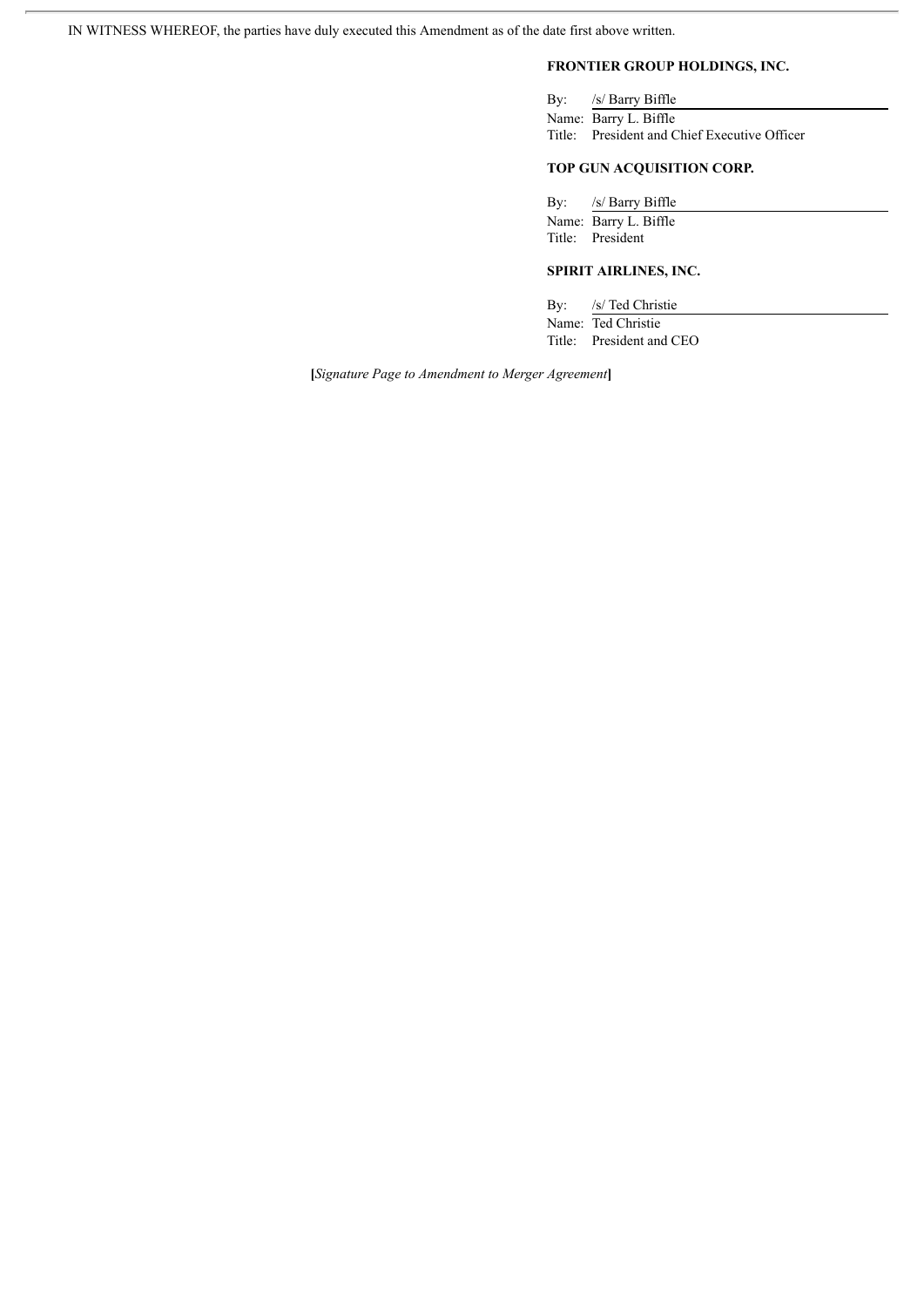IN WITNESS WHEREOF, the parties have duly executed this Amendment as of the date first above written.

### **FRONTIER GROUP HOLDINGS, INC.**

| By: $/s/$ Barry Biffle                       |
|----------------------------------------------|
| Name: Barry L. Biffle                        |
| Title: President and Chief Executive Officer |

### **TOP GUN ACQUISITION CORP.**

| By: $/s/$ Barry Biffle |
|------------------------|
| Name: Barry L. Biffle  |
| Title: President       |

### **SPIRIT AIRLINES, INC.**

By: /s/ Ted Christie Name: Ted Christie Title: President and CEO

**[***Signature Page to Amendment to Merger Agreement***]**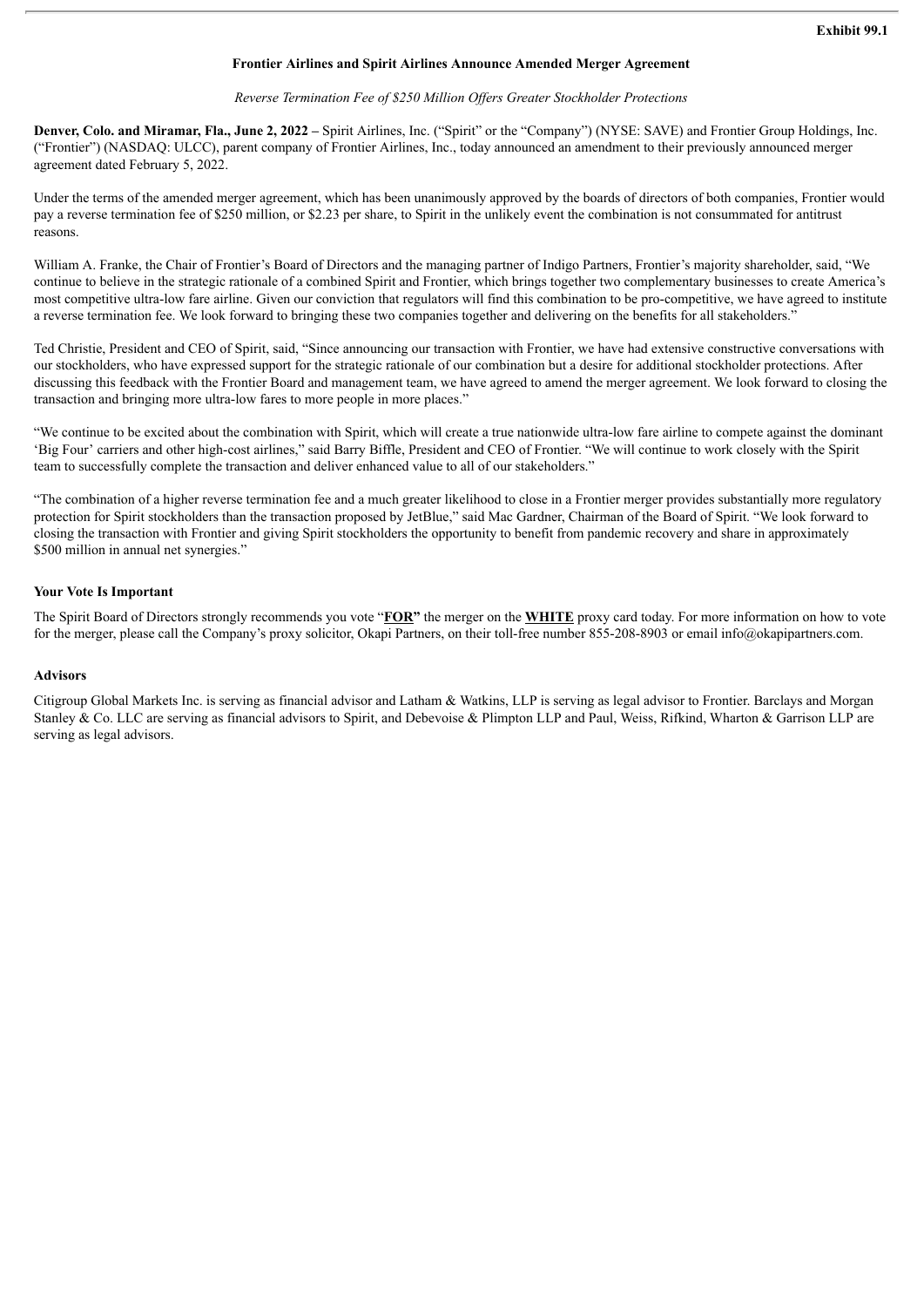### **Frontier Airlines and Spirit Airlines Announce Amended Merger Agreement**

### *Reverse Termination Fee of \$250 Million Of ers Greater Stockholder Protections*

**Denver, Colo. and Miramar, Fla., June 2, 2022 –** Spirit Airlines, Inc. ("Spirit" or the "Company") (NYSE: SAVE) and Frontier Group Holdings, Inc. ("Frontier") (NASDAQ: ULCC), parent company of Frontier Airlines, Inc., today announced an amendment to their previously announced merger agreement dated February 5, 2022.

Under the terms of the amended merger agreement, which has been unanimously approved by the boards of directors of both companies, Frontier would pay a reverse termination fee of \$250 million, or \$2.23 per share, to Spirit in the unlikely event the combination is not consummated for antitrust reasons.

William A. Franke, the Chair of Frontier's Board of Directors and the managing partner of Indigo Partners, Frontier's majority shareholder, said, "We continue to believe in the strategic rationale of a combined Spirit and Frontier, which brings together two complementary businesses to create America's most competitive ultra-low fare airline. Given our conviction that regulators will find this combination to be pro-competitive, we have agreed to institute a reverse termination fee. We look forward to bringing these two companies together and delivering on the benefits for all stakeholders."

Ted Christie, President and CEO of Spirit, said, "Since announcing our transaction with Frontier, we have had extensive constructive conversations with our stockholders, who have expressed support for the strategic rationale of our combination but a desire for additional stockholder protections. After discussing this feedback with the Frontier Board and management team, we have agreed to amend the merger agreement. We look forward to closing the transaction and bringing more ultra-low fares to more people in more places."

"We continue to be excited about the combination with Spirit, which will create a true nationwide ultra-low fare airline to compete against the dominant 'Big Four' carriers and other high-cost airlines," said Barry Biffle, President and CEO of Frontier. "We will continue to work closely with the Spirit team to successfully complete the transaction and deliver enhanced value to all of our stakeholders."

"The combination of a higher reverse termination fee and a much greater likelihood to close in a Frontier merger provides substantially more regulatory protection for Spirit stockholders than the transaction proposed by JetBlue," said Mac Gardner, Chairman of the Board of Spirit. "We look forward to closing the transaction with Frontier and giving Spirit stockholders the opportunity to benefit from pandemic recovery and share in approximately \$500 million in annual net synergies."

### **Your Vote Is Important**

The Spirit Board of Directors strongly recommends you vote "**FOR"** the merger on the **WHITE** proxy card today. For more information on how to vote for the merger, please call the Company's proxy solicitor, Okapi Partners, on their toll-free number 855-208-8903 or email info@okapipartners.com.

### **Advisors**

Citigroup Global Markets Inc. is serving as financial advisor and Latham & Watkins, LLP is serving as legal advisor to Frontier. Barclays and Morgan Stanley & Co. LLC are serving as financial advisors to Spirit, and Debevoise & Plimpton LLP and Paul, Weiss, Rifkind, Wharton & Garrison LLP are serving as legal advisors.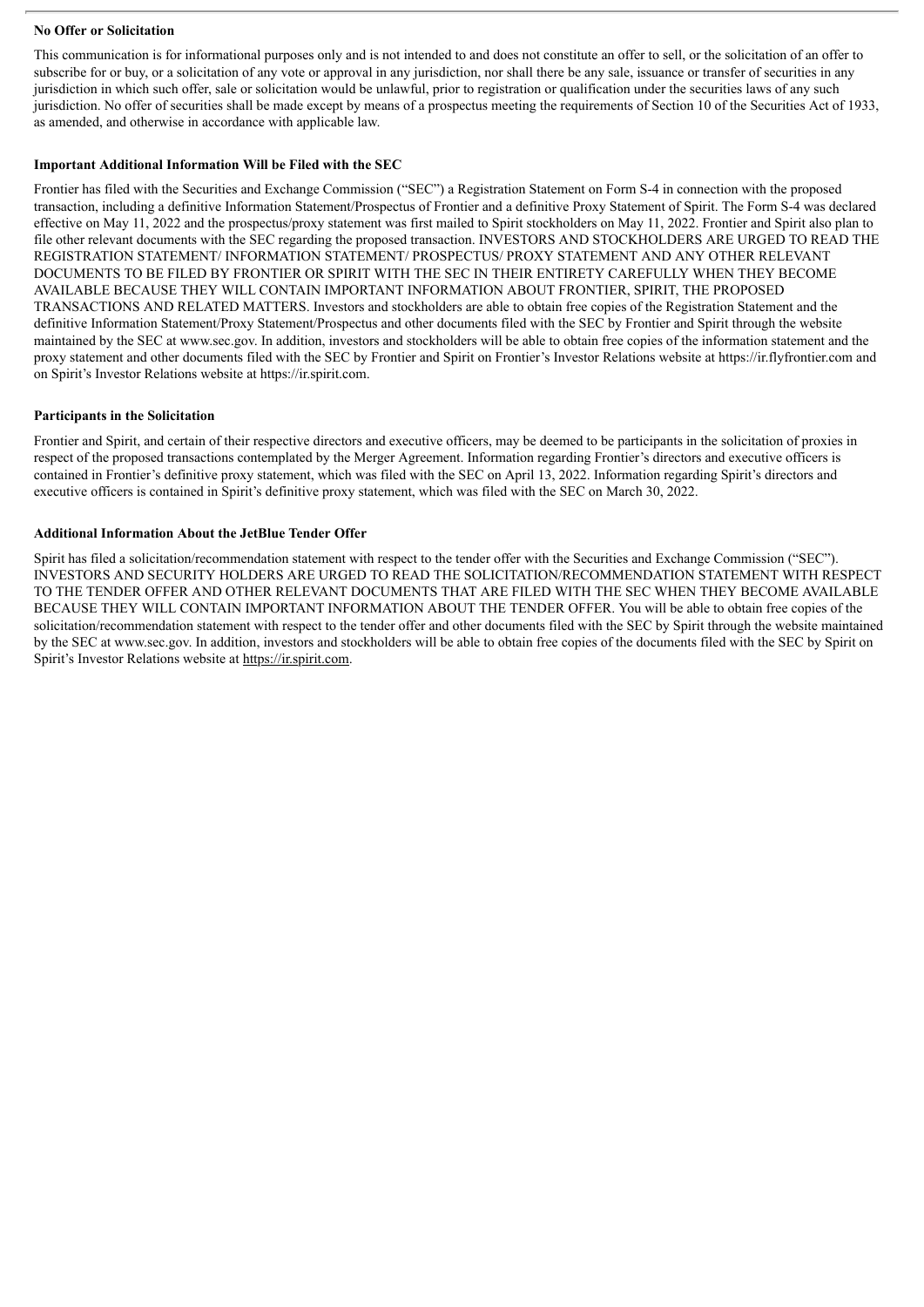### **No Offer or Solicitation**

This communication is for informational purposes only and is not intended to and does not constitute an offer to sell, or the solicitation of an offer to subscribe for or buy, or a solicitation of any vote or approval in any jurisdiction, nor shall there be any sale, issuance or transfer of securities in any jurisdiction in which such offer, sale or solicitation would be unlawful, prior to registration or qualification under the securities laws of any such jurisdiction. No offer of securities shall be made except by means of a prospectus meeting the requirements of Section 10 of the Securities Act of 1933, as amended, and otherwise in accordance with applicable law.

### **Important Additional Information Will be Filed with the SEC**

Frontier has filed with the Securities and Exchange Commission ("SEC") a Registration Statement on Form S-4 in connection with the proposed transaction, including a definitive Information Statement/Prospectus of Frontier and a definitive Proxy Statement of Spirit. The Form S-4 was declared effective on May 11, 2022 and the prospectus/proxy statement was first mailed to Spirit stockholders on May 11, 2022. Frontier and Spirit also plan to file other relevant documents with the SEC regarding the proposed transaction. INVESTORS AND STOCKHOLDERS ARE URGED TO READ THE REGISTRATION STATEMENT/ INFORMATION STATEMENT/ PROSPECTUS/ PROXY STATEMENT AND ANY OTHER RELEVANT DOCUMENTS TO BE FILED BY FRONTIER OR SPIRIT WITH THE SEC IN THEIR ENTIRETY CAREFULLY WHEN THEY BECOME AVAILABLE BECAUSE THEY WILL CONTAIN IMPORTANT INFORMATION ABOUT FRONTIER, SPIRIT, THE PROPOSED TRANSACTIONS AND RELATED MATTERS. Investors and stockholders are able to obtain free copies of the Registration Statement and the definitive Information Statement/Proxy Statement/Prospectus and other documents filed with the SEC by Frontier and Spirit through the website maintained by the SEC at www.sec.gov. In addition, investors and stockholders will be able to obtain free copies of the information statement and the proxy statement and other documents filed with the SEC by Frontier and Spirit on Frontier's Investor Relations website at https://ir.flyfrontier.com and on Spirit's Investor Relations website at https://ir.spirit.com.

### **Participants in the Solicitation**

Frontier and Spirit, and certain of their respective directors and executive officers, may be deemed to be participants in the solicitation of proxies in respect of the proposed transactions contemplated by the Merger Agreement. Information regarding Frontier's directors and executive officers is contained in Frontier's definitive proxy statement, which was filed with the SEC on April 13, 2022. Information regarding Spirit's directors and executive officers is contained in Spirit's definitive proxy statement, which was filed with the SEC on March 30, 2022.

### **Additional Information About the JetBlue Tender Offer**

Spirit has filed a solicitation/recommendation statement with respect to the tender offer with the Securities and Exchange Commission ("SEC"). INVESTORS AND SECURITY HOLDERS ARE URGED TO READ THE SOLICITATION/RECOMMENDATION STATEMENT WITH RESPECT TO THE TENDER OFFER AND OTHER RELEVANT DOCUMENTS THAT ARE FILED WITH THE SEC WHEN THEY BECOME AVAILABLE BECAUSE THEY WILL CONTAIN IMPORTANT INFORMATION ABOUT THE TENDER OFFER. You will be able to obtain free copies of the solicitation/recommendation statement with respect to the tender offer and other documents filed with the SEC by Spirit through the website maintained by the SEC at www.sec.gov. In addition, investors and stockholders will be able to obtain free copies of the documents filed with the SEC by Spirit on Spirit's Investor Relations website at https://ir.spirit.com.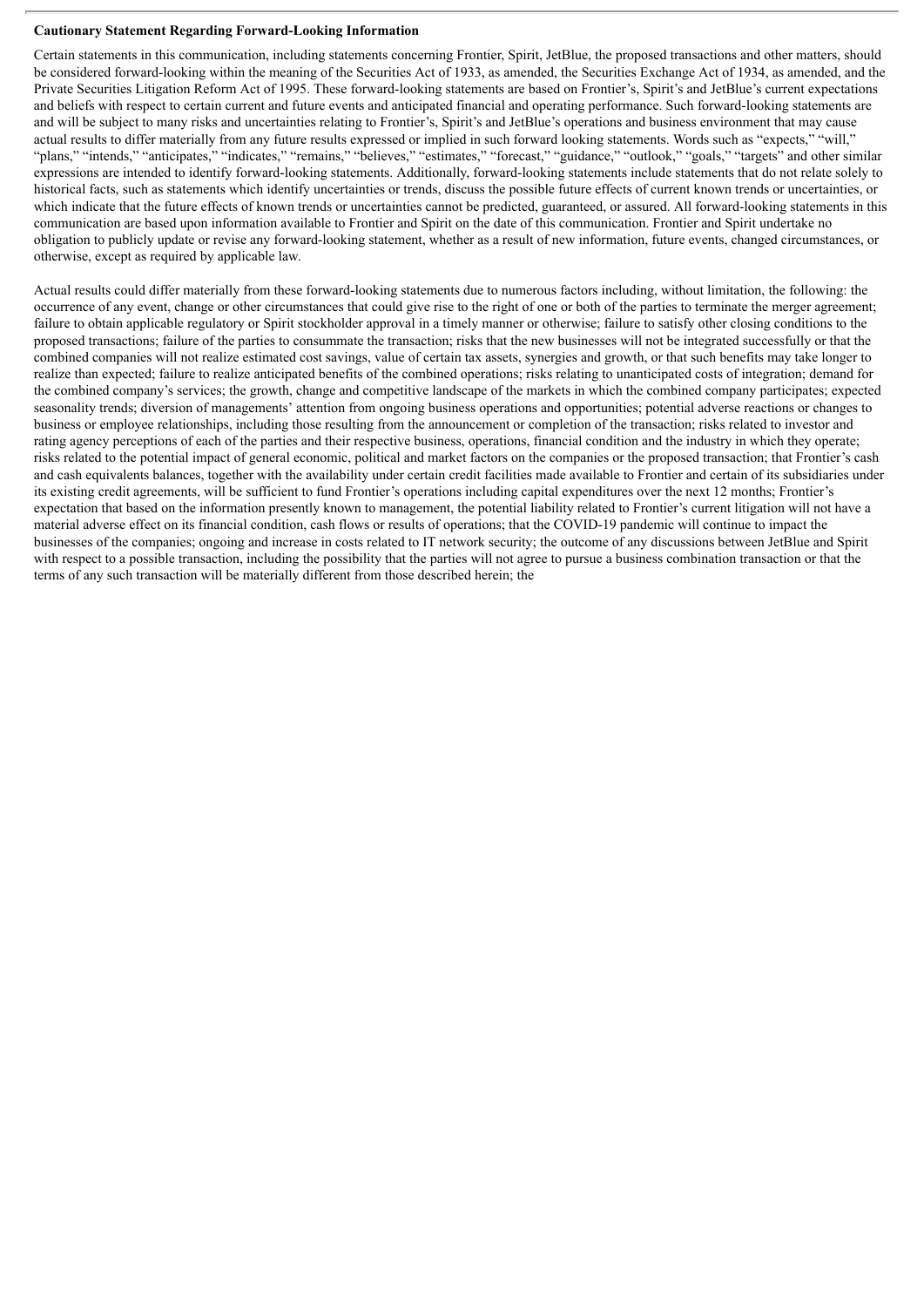### **Cautionary Statement Regarding Forward-Looking Information**

Certain statements in this communication, including statements concerning Frontier, Spirit, JetBlue, the proposed transactions and other matters, should be considered forward-looking within the meaning of the Securities Act of 1933, as amended, the Securities Exchange Act of 1934, as amended, and the Private Securities Litigation Reform Act of 1995. These forward-looking statements are based on Frontier's, Spirit's and JetBlue's current expectations and beliefs with respect to certain current and future events and anticipated financial and operating performance. Such forward-looking statements are and will be subject to many risks and uncertainties relating to Frontier's, Spirit's and JetBlue's operations and business environment that may cause actual results to differ materially from any future results expressed or implied in such forward looking statements. Words such as "expects," "will," "plans," "intends," "anticipates," "indicates," "remains," "believes," "estimates," "forecast," "guidance," "outlook," "goals," "targets" and other similar expressions are intended to identify forward-looking statements. Additionally, forward-looking statements include statements that do not relate solely to historical facts, such as statements which identify uncertainties or trends, discuss the possible future effects of current known trends or uncertainties, or which indicate that the future effects of known trends or uncertainties cannot be predicted, guaranteed, or assured. All forward-looking statements in this communication are based upon information available to Frontier and Spirit on the date of this communication. Frontier and Spirit undertake no obligation to publicly update or revise any forward-looking statement, whether as a result of new information, future events, changed circumstances, or otherwise, except as required by applicable law.

Actual results could differ materially from these forward-looking statements due to numerous factors including, without limitation, the following: the occurrence of any event, change or other circumstances that could give rise to the right of one or both of the parties to terminate the merger agreement; failure to obtain applicable regulatory or Spirit stockholder approval in a timely manner or otherwise; failure to satisfy other closing conditions to the proposed transactions; failure of the parties to consummate the transaction; risks that the new businesses will not be integrated successfully or that the combined companies will not realize estimated cost savings, value of certain tax assets, synergies and growth, or that such benefits may take longer to realize than expected; failure to realize anticipated benefits of the combined operations; risks relating to unanticipated costs of integration; demand for the combined company's services; the growth, change and competitive landscape of the markets in which the combined company participates; expected seasonality trends; diversion of managements' attention from ongoing business operations and opportunities; potential adverse reactions or changes to business or employee relationships, including those resulting from the announcement or completion of the transaction; risks related to investor and rating agency perceptions of each of the parties and their respective business, operations, financial condition and the industry in which they operate; risks related to the potential impact of general economic, political and market factors on the companies or the proposed transaction; that Frontier's cash and cash equivalents balances, together with the availability under certain credit facilities made available to Frontier and certain of its subsidiaries under its existing credit agreements, will be sufficient to fund Frontier's operations including capital expenditures over the next 12 months; Frontier's expectation that based on the information presently known to management, the potential liability related to Frontier's current litigation will not have a material adverse effect on its financial condition, cash flows or results of operations; that the COVID-19 pandemic will continue to impact the businesses of the companies; ongoing and increase in costs related to IT network security; the outcome of any discussions between JetBlue and Spirit with respect to a possible transaction, including the possibility that the parties will not agree to pursue a business combination transaction or that the terms of any such transaction will be materially different from those described herein; the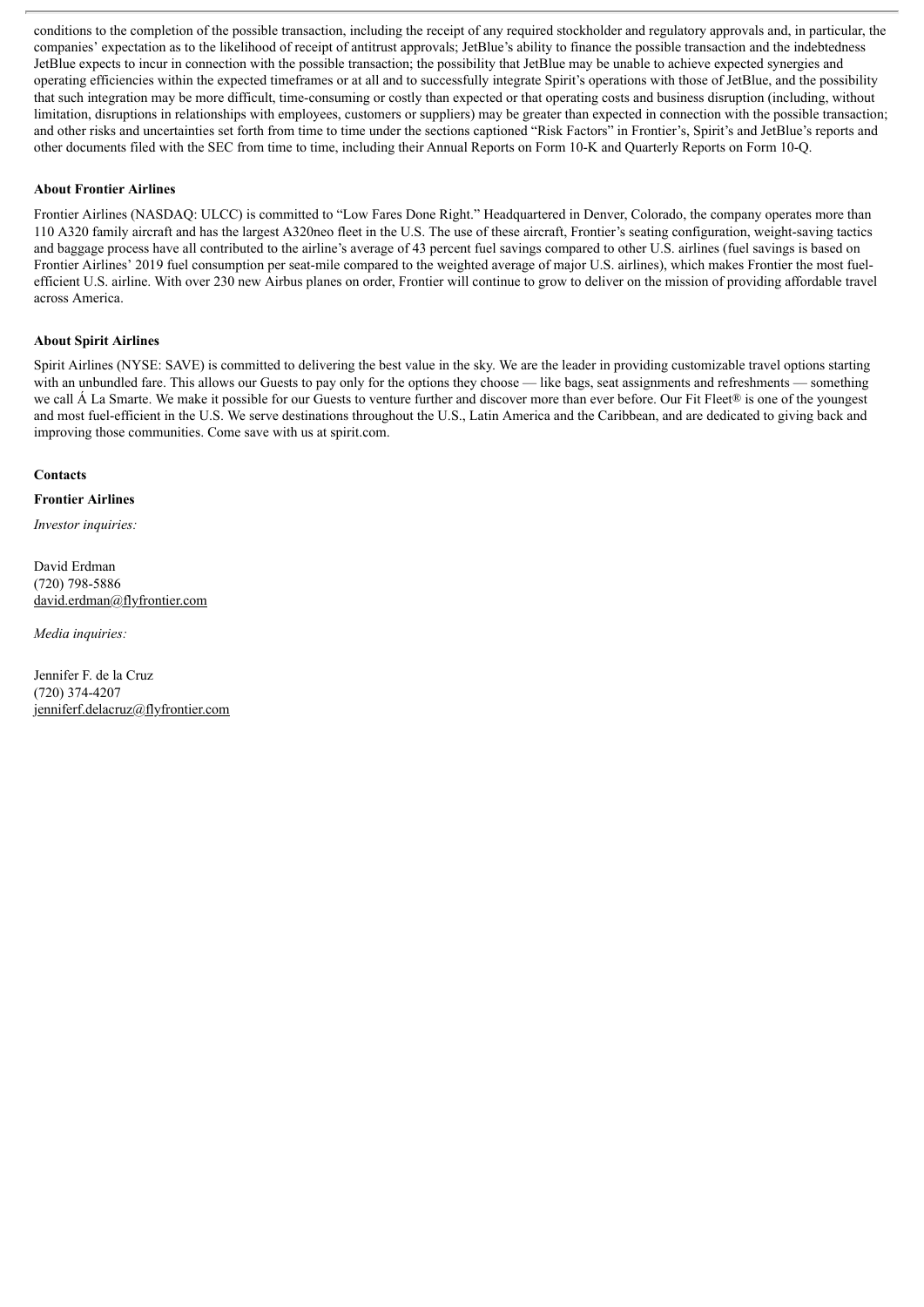conditions to the completion of the possible transaction, including the receipt of any required stockholder and regulatory approvals and, in particular, the companies' expectation as to the likelihood of receipt of antitrust approvals; JetBlue's ability to finance the possible transaction and the indebtedness JetBlue expects to incur in connection with the possible transaction; the possibility that JetBlue may be unable to achieve expected synergies and operating efficiencies within the expected timeframes or at all and to successfully integrate Spirit's operations with those of JetBlue, and the possibility that such integration may be more difficult, time-consuming or costly than expected or that operating costs and business disruption (including, without limitation, disruptions in relationships with employees, customers or suppliers) may be greater than expected in connection with the possible transaction; and other risks and uncertainties set forth from time to time under the sections captioned "Risk Factors" in Frontier's, Spirit's and JetBlue's reports and other documents filed with the SEC from time to time, including their Annual Reports on Form 10-K and Quarterly Reports on Form 10-Q.

### **About Frontier Airlines**

Frontier Airlines (NASDAQ: ULCC) is committed to "Low Fares Done Right." Headquartered in Denver, Colorado, the company operates more than 110 A320 family aircraft and has the largest A320neo fleet in the U.S. The use of these aircraft, Frontier's seating configuration, weight-saving tactics and baggage process have all contributed to the airline's average of 43 percent fuel savings compared to other U.S. airlines (fuel savings is based on Frontier Airlines' 2019 fuel consumption per seat-mile compared to the weighted average of major U.S. airlines), which makes Frontier the most fuelefficient U.S. airline. With over 230 new Airbus planes on order, Frontier will continue to grow to deliver on the mission of providing affordable travel across America.

### **About Spirit Airlines**

Spirit Airlines (NYSE: SAVE) is committed to delivering the best value in the sky. We are the leader in providing customizable travel options starting with an unbundled fare. This allows our Guests to pay only for the options they choose — like bags, seat assignments and refreshments — something we call A La Smarte. We make it possible for our Guests to venture further and discover more than ever before. Our Fit Fleet® is one of the youngest and most fuel-efficient in the U.S. We serve destinations throughout the U.S., Latin America and the Caribbean, and are dedicated to giving back and improving those communities. Come save with us at spirit.com.

### **Contacts**

### **Frontier Airlines**

*Investor inquiries:*

David Erdman (720) 798-5886 david.erdman@flyfrontier.com

*Media inquiries:*

Jennifer F. de la Cruz (720) 374-4207 jenniferf.delacruz@flyfrontier.com